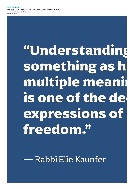Source: The Telling

## "Understanding something as h multiple meanir is one of the de expressions of freedom."

Rabbi Elie Kaunfer